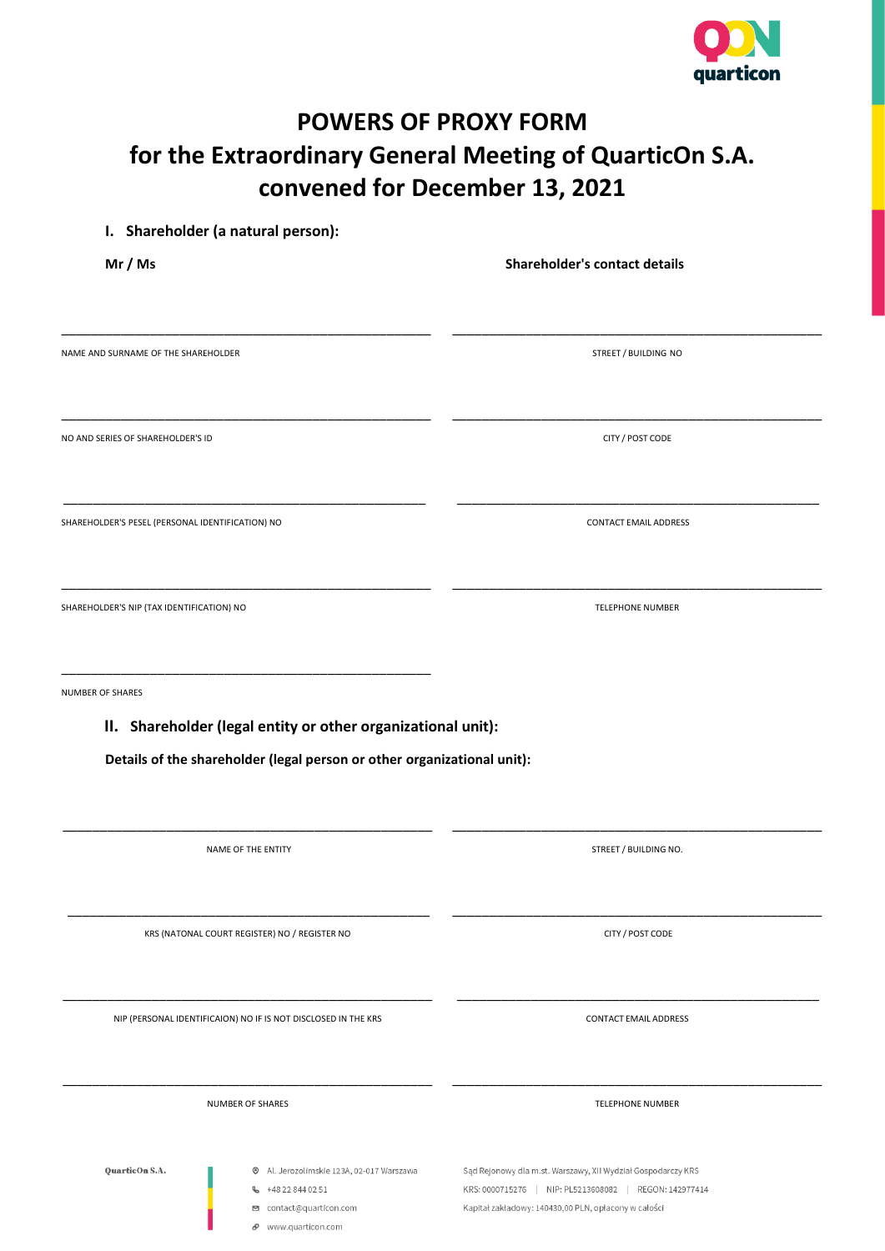

# **POWERS OF PROXY FORM for the Extraordinary General Meeting of QuarticOn S.A. convened for December 13, 2021**

| Mr / Ms                                          |                                                                                               | Shareholder's contact details |  |
|--------------------------------------------------|-----------------------------------------------------------------------------------------------|-------------------------------|--|
| NAME AND SURNAME OF THE SHAREHOLDER              |                                                                                               | STREET / BUILDING NO          |  |
|                                                  |                                                                                               |                               |  |
| NO AND SERIES OF SHAREHOLDER'S ID                |                                                                                               | CITY / POST CODE              |  |
| SHAREHOLDER'S PESEL (PERSONAL IDENTIFICATION) NO |                                                                                               | <b>CONTACT EMAIL ADDRESS</b>  |  |
| SHAREHOLDER'S NIP (TAX IDENTIFICATION) NO        |                                                                                               | TELEPHONE NUMBER              |  |
| NUMBER OF SHARES                                 | II. Shareholder (legal entity or other organizational unit):                                  |                               |  |
|                                                  | Details of the shareholder (legal person or other organizational unit):<br>NAME OF THE ENTITY |                               |  |
|                                                  |                                                                                               | STREET / BUILDING NO.         |  |
|                                                  | KRS (NATONAL COURT REGISTER) NO / REGISTER NO                                                 | CITY / POST CODE              |  |
|                                                  | NIP (PERSONAL IDENTIFICAION) NO IF IS NOT DISCLOSED IN THE KRS                                | <b>CONTACT EMAIL ADDRESS</b>  |  |
|                                                  | NUMBER OF SHARES                                                                              | <b>TELEPHONE NUMBER</b>       |  |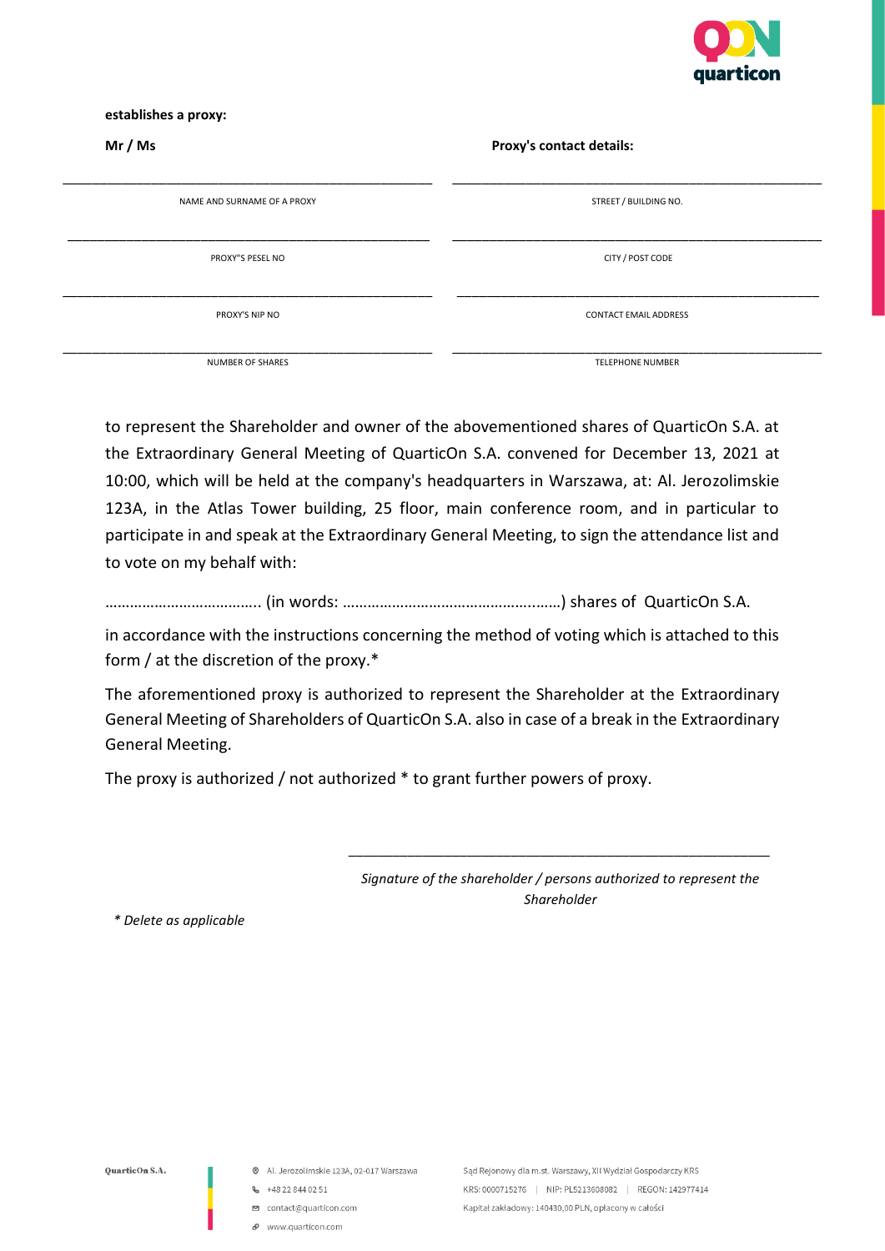

#### **establishes a proxy:**

| Mr / Ms                     | Proxy's contact details:     |  |
|-----------------------------|------------------------------|--|
| NAME AND SURNAME OF A PROXY | STREET / BUILDING NO.        |  |
| PROXY"S PESEL NO            | CITY / POST CODE             |  |
| PROXY'S NIP NO              | <b>CONTACT EMAIL ADDRESS</b> |  |
| NUMBER OF SHARES            | <b>TELEPHONE NUMBER</b>      |  |

to represent the Shareholder and owner of the abovementioned shares of QuarticOn S.A. at the Extraordinary General Meeting of QuarticOn S.A. convened for December 13, 2021 at 10:00, which will be held at the company's headquarters in Warszawa, at: Al. Jerozolimskie 123A, in the Atlas Tower building, 25 floor, main conference room, and in particular to participate in and speak at the Extraordinary General Meeting, to sign the attendance list and to vote on my behalf with:

……………………………….. (in words: ………………………………………..……) shares of QuarticOn S.A.

in accordance with the instructions concerning the method of voting which is attached to this form / at the discretion of the proxy.\*

The aforementioned proxy is authorized to represent the Shareholder at the Extraordinary General Meeting of Shareholders of QuarticOn S.A. also in case of a break in the Extraordinary General Meeting.

The proxy is authorized / not authorized \* to grant further powers of proxy.

*Signature of the shareholder / persons authorized to represent the Shareholder*

*\_\_\_\_\_\_\_\_\_\_\_\_\_\_\_\_\_\_\_\_\_\_\_\_\_\_\_\_\_\_\_\_\_\_\_\_\_\_\_\_\_\_\_\_\_\_\_\_\_\_\_\_\_\_\_\_\_*

*\* Delete as applicable*

- @ Al. Jerozolimskie 123A, 02-017 Warszawa
- $\frac{1}{2}$  +48 22 844 02 51
- □ contact@quarticon.com
- $\mathcal O$  www.quarticon.com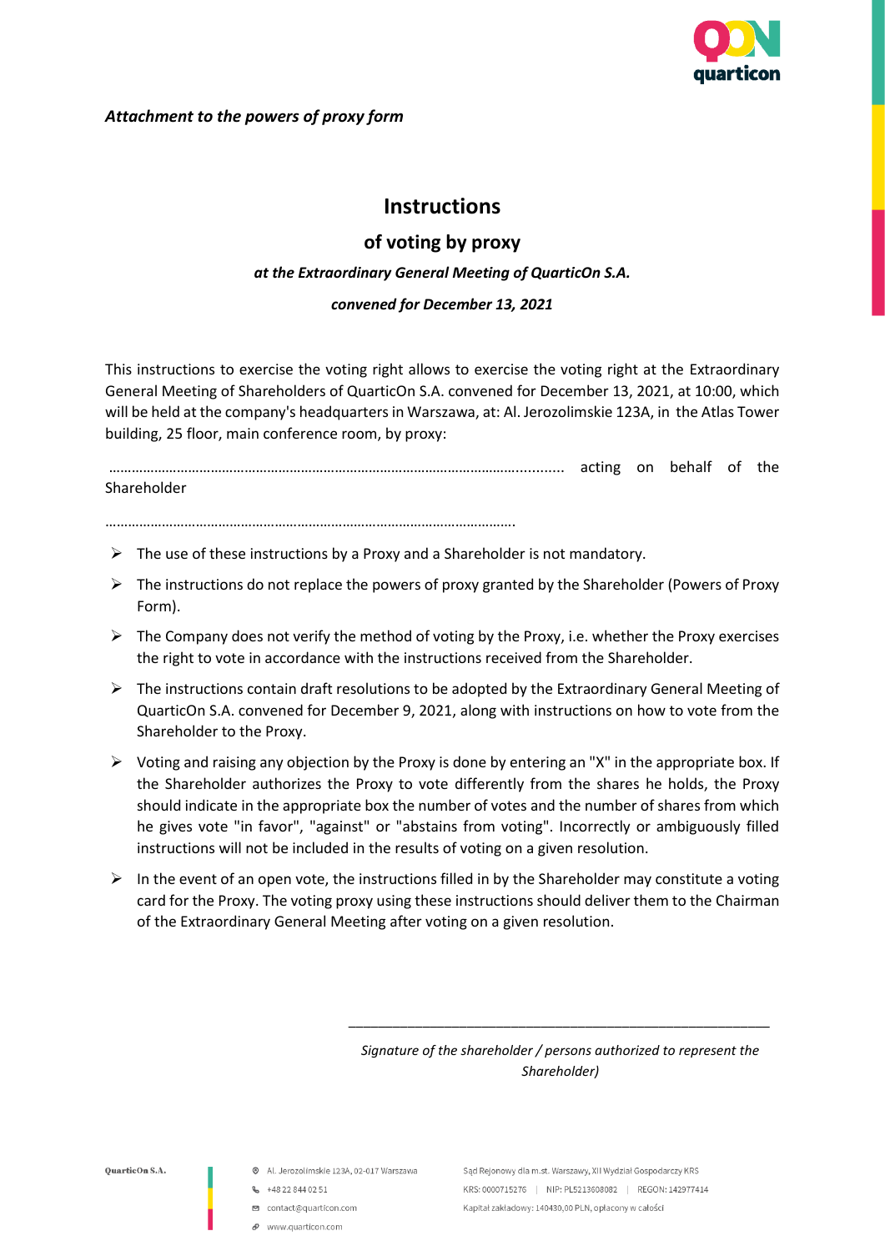

### *Attachment to the powers of proxy form*

# **Instructions**

# **of voting by proxy**

## *at the Extraordinary General Meeting of QuarticOn S.A.*

### *convened for December 13, 2021*

This instructions to exercise the voting right allows to exercise the voting right at the Extraordinary General Meeting of Shareholders of QuarticOn S.A. convened for December 13, 2021, at 10:00, which will be held at the company's headquarters in Warszawa, at: Al. Jerozolimskie 123A, in the Atlas Tower building, 25 floor, main conference room, by proxy:

………………………………………………………………………………………………............ acting on behalf of the Shareholder

……………………………………………………………………………………………….

- $\triangleright$  The use of these instructions by a Proxy and a Shareholder is not mandatory.
- $\triangleright$  The instructions do not replace the powers of proxy granted by the Shareholder (Powers of Proxy Form).
- $\triangleright$  The Company does not verify the method of voting by the Proxy, i.e. whether the Proxy exercises the right to vote in accordance with the instructions received from the Shareholder.
- $\triangleright$  The instructions contain draft resolutions to be adopted by the Extraordinary General Meeting of QuarticOn S.A. convened for December 9, 2021, along with instructions on how to vote from the Shareholder to the Proxy.
- $\triangleright$  Voting and raising any objection by the Proxy is done by entering an "X" in the appropriate box. If the Shareholder authorizes the Proxy to vote differently from the shares he holds, the Proxy should indicate in the appropriate box the number of votes and the number of shares from which he gives vote "in favor", "against" or "abstains from voting". Incorrectly or ambiguously filled instructions will not be included in the results of voting on a given resolution.
- $\triangleright$  In the event of an open vote, the instructions filled in by the Shareholder may constitute a voting card for the Proxy. The voting proxy using these instructions should deliver them to the Chairman of the Extraordinary General Meeting after voting on a given resolution.

*Signature of the shareholder / persons authorized to represent the Shareholder)*

*\_\_\_\_\_\_\_\_\_\_\_\_\_\_\_\_\_\_\_\_\_\_\_\_\_\_\_\_\_\_\_\_\_\_\_\_\_\_\_\_\_\_\_\_\_\_\_\_\_\_\_\_\_\_\_\_\_*

OuarticOn S.A.

- Al. Jerozolimskie 123A, 02-017 Warszawa
- **6** +48 22 844 02 51
- contact@quarticon.com
- P www.quarticon.com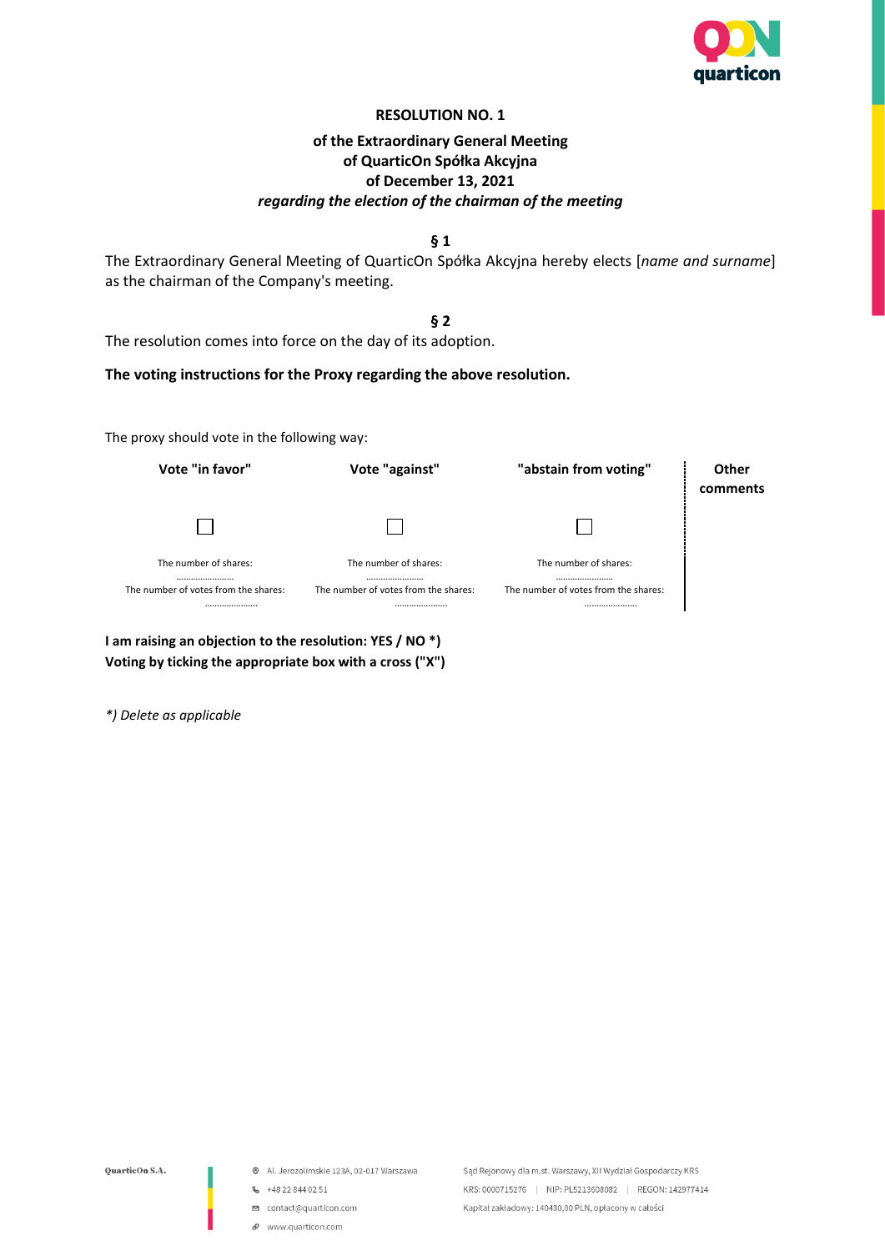

| of the Extraordinary General Meeting                                                                                                        |
|---------------------------------------------------------------------------------------------------------------------------------------------|
| of QuarticOn Spółka Akcyjna                                                                                                                 |
| of December 13, 2021                                                                                                                        |
| regarding the election of the chairman of the meeting                                                                                       |
| $\S 1$                                                                                                                                      |
| The Extraordinary General Meeting of QuarticOn Spółka Akcyjna hereby elects [name and surname]<br>as the chairman of the Company's meeting. |
| § 2                                                                                                                                         |

The resolution comes into force on the day of its adoption.

## **The voting instructions for the Proxy regarding the above resolution.**

The proxy should vote in the following way:

| Vote "in favor"                                                       | Vote "against"                                                        | "abstain from voting"                                                 | Other<br>comments |
|-----------------------------------------------------------------------|-----------------------------------------------------------------------|-----------------------------------------------------------------------|-------------------|
|                                                                       |                                                                       |                                                                       |                   |
| The number of shares:<br><br>The number of votes from the shares:<br> | The number of shares:<br><br>The number of votes from the shares:<br> | The number of shares:<br><br>The number of votes from the shares:<br> |                   |

**I am raising an objection to the resolution: YES / NO \*) Voting by ticking the appropriate box with a cross ("X")**

*\*) Delete as applicable*

QuarticOn S.A.

- Al. Jerozolimskie 123A, 02-017 Warszawa
- $\frac{1}{2}$  +48 22 844 02 51
- contact@quarticon.com
- $\mathcal O$  www.quarticon.com

Sąd Rejonowy dla m.st. Warszawy, XII Wydział Gospodarczy KRS KRS: 0000715276 | NIP: PL5213608082 | REGON: 142977414 Kapitał zakładowy: 140430,00 PLN, opłacony w całości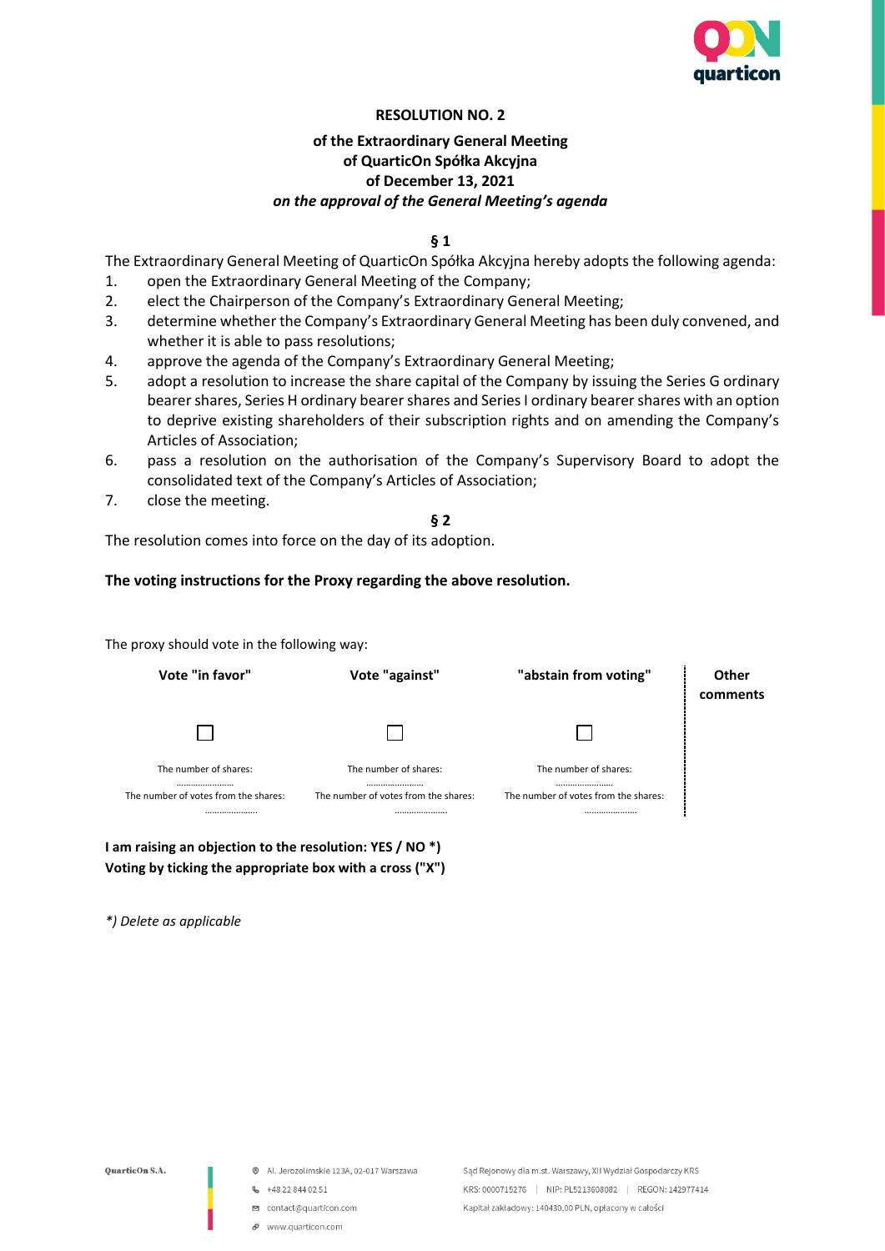

## **of the Extraordinary General Meeting of QuarticOn Spółka Akcyjna of December 13, 2021** *on the approval of the General Meeting's agenda*

**§ 1**

The Extraordinary General Meeting of QuarticOn Spółka Akcyjna hereby adopts the following agenda:

- 1. open the Extraordinary General Meeting of the Company;
- 2. elect the Chairperson of the Company's Extraordinary General Meeting;
- 3. determine whether the Company's Extraordinary General Meeting has been duly convened, and whether it is able to pass resolutions;
- 4. approve the agenda of the Company's Extraordinary General Meeting;
- 5. adopt a resolution to increase the share capital of the Company by issuing the Series G ordinary bearer shares, Series H ordinary bearer shares and Series I ordinary bearer shares with an option to deprive existing shareholders of their subscription rights and on amending the Company's Articles of Association;
- 6. pass a resolution on the authorisation of the Company's Supervisory Board to adopt the consolidated text of the Company's Articles of Association;
- 7. close the meeting.

**§ 2**

The resolution comes into force on the day of its adoption.

#### **The voting instructions for the Proxy regarding the above resolution.**

The proxy should vote in the following way:

| Vote "in favor"                                                   | Vote "against"                                                    | "abstain from voting"                                             | Other<br>comments |
|-------------------------------------------------------------------|-------------------------------------------------------------------|-------------------------------------------------------------------|-------------------|
|                                                                   |                                                                   |                                                                   |                   |
| The number of shares:<br><br>The number of votes from the shares: | The number of shares:<br><br>The number of votes from the shares: | The number of shares:<br><br>The number of votes from the shares: |                   |
|                                                                   |                                                                   |                                                                   |                   |

**I am raising an objection to the resolution: YES / NO \*) Voting by ticking the appropriate box with a cross ("X")**

*\*) Delete as applicable*

- Al. Jerozolimskie 123A, 02-017 Warszawa
- $-48228440251$
- □ contact@quarticon.com
- P www.quarticon.com

Sąd Rejonowy dla m.st. Warszawy, XII Wydział Gospodarczy KRS KRS: 0000715276 | NIP: PL5213608082 | REGON: 142977414 Kapitał zakładowy: 140430,00 PLN, opłacony w całości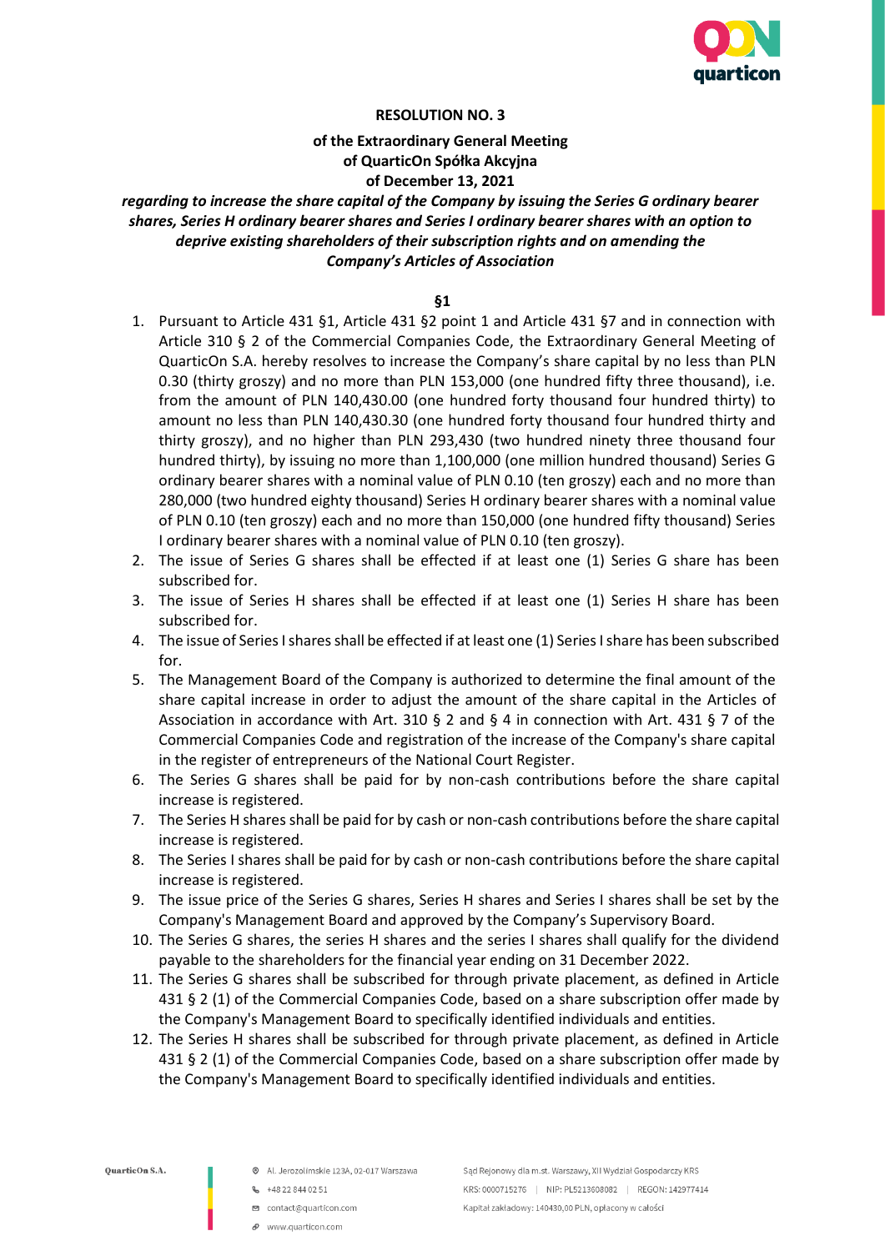

# **of the Extraordinary General Meeting of QuarticOn Spółka Akcyjna of December 13, 2021**

## *regarding to increase the share capital of the Company by issuing the Series G ordinary bearer shares, Series H ordinary bearer shares and Series I ordinary bearer shares with an option to deprive existing shareholders of their subscription rights and on amending the Company's Articles of Association*

#### **§1**

- 1. Pursuant to Article 431 §1, Article 431 §2 point 1 and Article 431 §7 and in connection with Article 310 § 2 of the Commercial Companies Code, the Extraordinary General Meeting of QuarticOn S.A. hereby resolves to increase the Company's share capital by no less than PLN 0.30 (thirty groszy) and no more than PLN 153,000 (one hundred fifty three thousand), i.e. from the amount of PLN 140,430.00 (one hundred forty thousand four hundred thirty) to amount no less than PLN 140,430.30 (one hundred forty thousand four hundred thirty and thirty groszy), and no higher than PLN 293,430 (two hundred ninety three thousand four hundred thirty), by issuing no more than 1,100,000 (one million hundred thousand) Series G ordinary bearer shares with a nominal value of PLN 0.10 (ten groszy) each and no more than 280,000 (two hundred eighty thousand) Series H ordinary bearer shares with a nominal value of PLN 0.10 (ten groszy) each and no more than 150,000 (one hundred fifty thousand) Series I ordinary bearer shares with a nominal value of PLN 0.10 (ten groszy).
- 2. The issue of Series G shares shall be effected if at least one (1) Series G share has been subscribed for.
- 3. The issue of Series H shares shall be effected if at least one (1) Series H share has been subscribed for.
- 4. The issue of Series I shares shall be effected if at least one (1) Series I share has been subscribed for.
- 5. The Management Board of the Company is authorized to determine the final amount of the share capital increase in order to adjust the amount of the share capital in the Articles of Association in accordance with Art. 310 § 2 and § 4 in connection with Art. 431 § 7 of the Commercial Companies Code and registration of the increase of the Company's share capital in the register of entrepreneurs of the National Court Register.
- 6. The Series G shares shall be paid for by non-cash contributions before the share capital increase is registered.
- 7. The Series H shares shall be paid for by cash or non-cash contributions before the share capital increase is registered.
- 8. The Series I shares shall be paid for by cash or non-cash contributions before the share capital increase is registered.
- 9. The issue price of the Series G shares, Series H shares and Series I shares shall be set by the Company's Management Board and approved by the Company's Supervisory Board.
- 10. The Series G shares, the series H shares and the series I shares shall qualify for the dividend payable to the shareholders for the financial year ending on 31 December 2022.
- 11. The Series G shares shall be subscribed for through private placement, as defined in Article 431 § 2 (1) of the Commercial Companies Code, based on a share subscription offer made by the Company's Management Board to specifically identified individuals and entities.
- 12. The Series H shares shall be subscribed for through private placement, as defined in Article 431 § 2 (1) of the Commercial Companies Code, based on a share subscription offer made by the Company's Management Board to specifically identified individuals and entities.

- @ Al. Jerozolimskie 123A, 02-017 Warszawa
- $-48228440251$
- □ contact@quarticon.com
- www.guarticon.com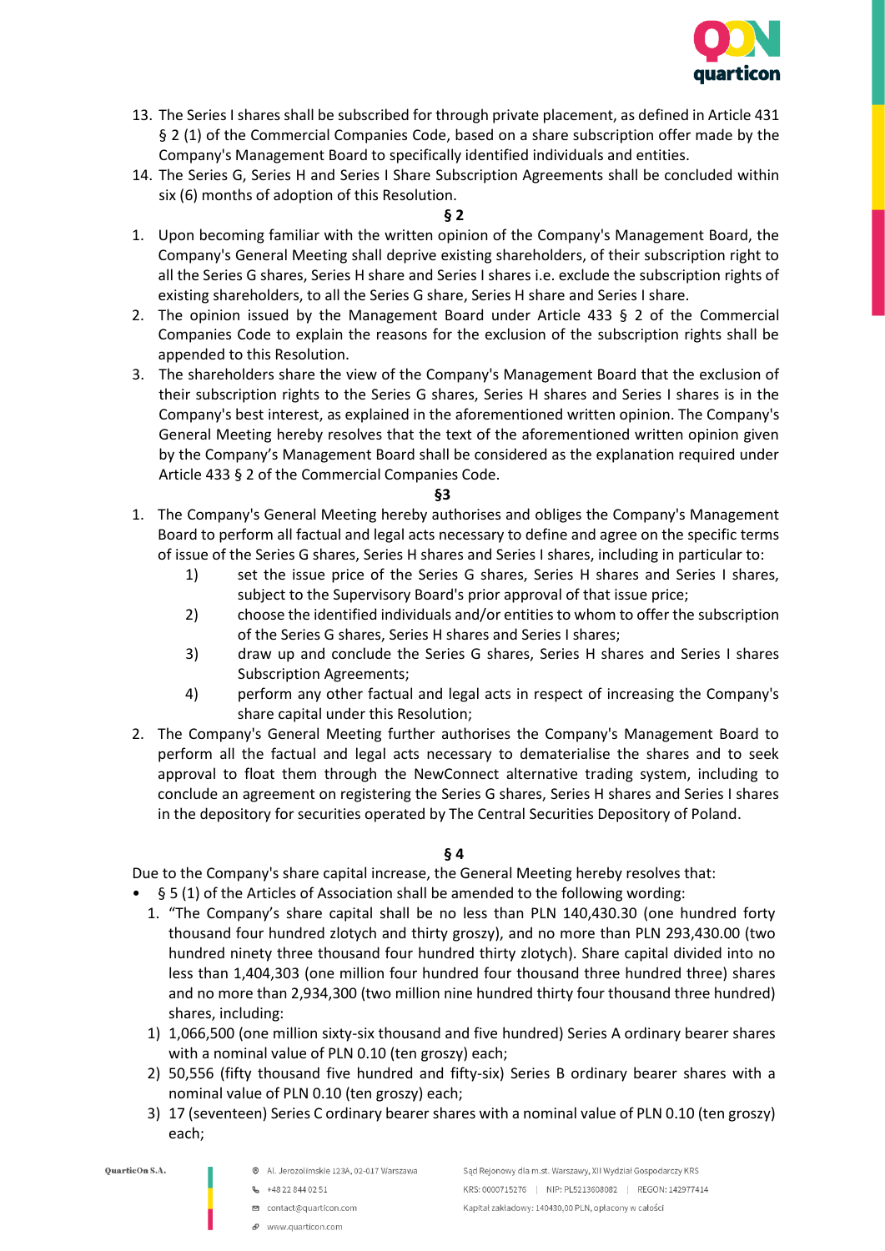

- 13. The Series I shares shall be subscribed for through private placement, as defined in Article 431 § 2 (1) of the Commercial Companies Code, based on a share subscription offer made by the Company's Management Board to specifically identified individuals and entities.
- 14. The Series G, Series H and Series I Share Subscription Agreements shall be concluded within six (6) months of adoption of this Resolution.

#### **§ 2**

- 1. Upon becoming familiar with the written opinion of the Company's Management Board, the Company's General Meeting shall deprive existing shareholders, of their subscription right to all the Series G shares, Series H share and Series I shares i.e. exclude the subscription rights of existing shareholders, to all the Series G share, Series H share and Series I share.
- 2. The opinion issued by the Management Board under Article 433 § 2 of the Commercial Companies Code to explain the reasons for the exclusion of the subscription rights shall be appended to this Resolution.
- 3. The shareholders share the view of the Company's Management Board that the exclusion of their subscription rights to the Series G shares, Series H shares and Series I shares is in the Company's best interest, as explained in the aforementioned written opinion. The Company's General Meeting hereby resolves that the text of the aforementioned written opinion given by the Company's Management Board shall be considered as the explanation required under Article 433 § 2 of the Commercial Companies Code.

#### **§3**

- 1. The Company's General Meeting hereby authorises and obliges the Company's Management Board to perform all factual and legal acts necessary to define and agree on the specific terms of issue of the Series G shares, Series H shares and Series I shares, including in particular to:
	- 1) set the issue price of the Series G shares, Series H shares and Series I shares, subject to the Supervisory Board's prior approval of that issue price;
	- 2) choose the identified individuals and/or entities to whom to offer the subscription of the Series G shares, Series H shares and Series I shares;
	- 3) draw up and conclude the Series G shares, Series H shares and Series I shares Subscription Agreements;
	- 4) perform any other factual and legal acts in respect of increasing the Company's share capital under this Resolution;
- 2. The Company's General Meeting further authorises the Company's Management Board to perform all the factual and legal acts necessary to dematerialise the shares and to seek approval to float them through the NewConnect alternative trading system, including to conclude an agreement on registering the Series G shares, Series H shares and Series I shares in the depository for securities operated by The Central Securities Depository of Poland.

#### **§ 4**

Due to the Company's share capital increase, the General Meeting hereby resolves that:

- § 5 (1) of the Articles of Association shall be amended to the following wording:
	- 1. "The Company's share capital shall be no less than PLN 140,430.30 (one hundred forty thousand four hundred zlotych and thirty groszy), and no more than PLN 293,430.00 (two hundred ninety three thousand four hundred thirty zlotych). Share capital divided into no less than 1,404,303 (one million four hundred four thousand three hundred three) shares and no more than 2,934,300 (two million nine hundred thirty four thousand three hundred) shares, including:
	- 1) 1,066,500 (one million sixty-six thousand and five hundred) Series A ordinary bearer shares with a nominal value of PLN 0.10 (ten groszy) each;
	- 2) 50,556 (fifty thousand five hundred and fifty-six) Series B ordinary bearer shares with a nominal value of PLN 0.10 (ten groszy) each;
	- 3) 17 (seventeen) Series C ordinary bearer shares with a nominal value of PLN 0.10 (ten groszy) each;

- @ Al. Jerozolimskie 123A, 02-017 Warszawa
- $-48228440251$
- □ contact@quarticon.com
- P www.quarticon.com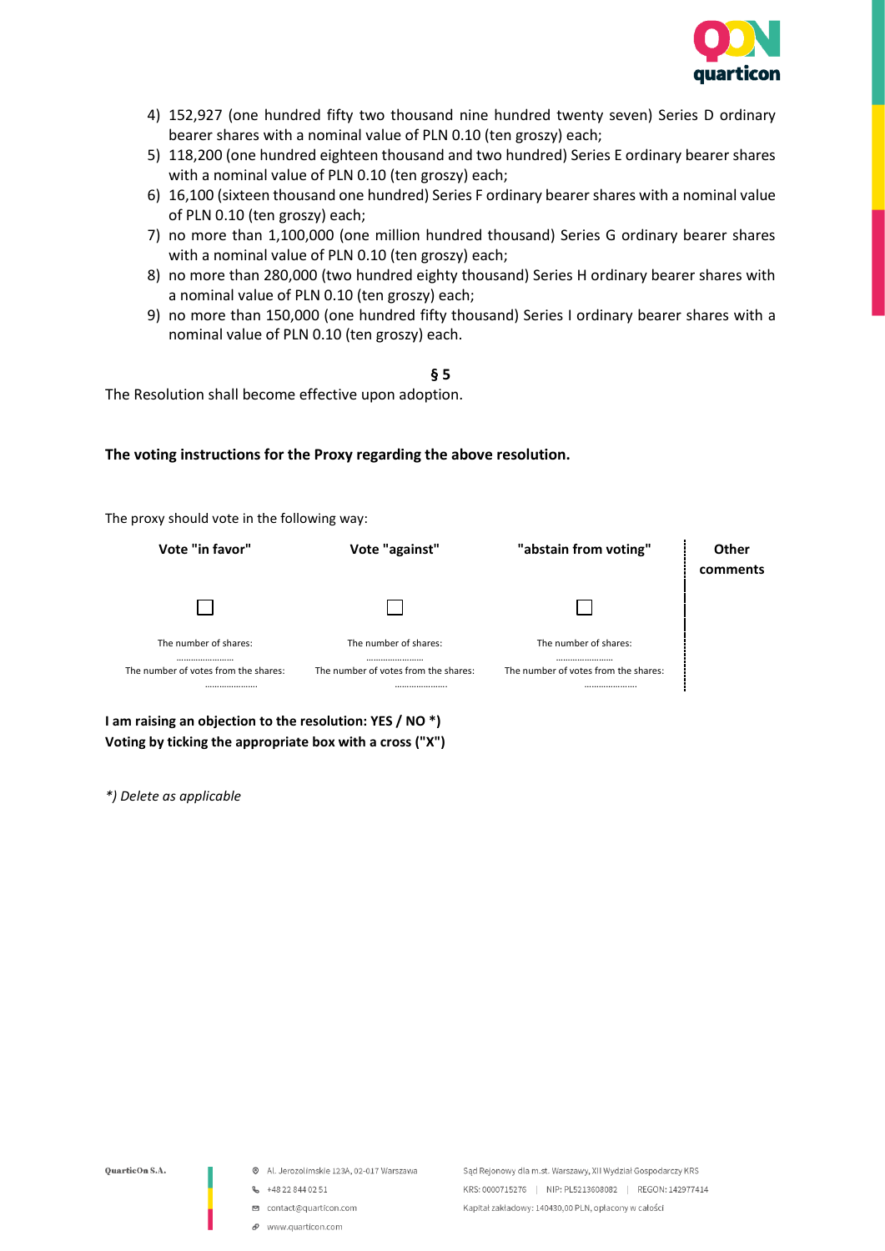

- 4) 152,927 (one hundred fifty two thousand nine hundred twenty seven) Series D ordinary bearer shares with a nominal value of PLN 0.10 (ten groszy) each;
- 5) 118,200 (one hundred eighteen thousand and two hundred) Series E ordinary bearer shares with a nominal value of PLN 0.10 (ten groszy) each;
- 6) 16,100 (sixteen thousand one hundred) Series F ordinary bearer shares with a nominal value of PLN 0.10 (ten groszy) each;
- 7) no more than 1,100,000 (one million hundred thousand) Series G ordinary bearer shares with a nominal value of PLN 0.10 (ten groszy) each;
- 8) no more than 280,000 (two hundred eighty thousand) Series H ordinary bearer shares with a nominal value of PLN 0.10 (ten groszy) each;
- 9) no more than 150,000 (one hundred fifty thousand) Series I ordinary bearer shares with a nominal value of PLN 0.10 (ten groszy) each.

**§ 5**

The Resolution shall become effective upon adoption.

#### **The voting instructions for the Proxy regarding the above resolution.**

The proxy should vote in the following way:

| Vote "in favor"                                                   | Vote "against"                                                    | "abstain from voting"                                             | Other<br>comments |
|-------------------------------------------------------------------|-------------------------------------------------------------------|-------------------------------------------------------------------|-------------------|
|                                                                   |                                                                   |                                                                   |                   |
| The number of shares:<br><br>The number of votes from the shares: | The number of shares:<br><br>The number of votes from the shares: | The number of shares:<br><br>The number of votes from the shares: |                   |
|                                                                   |                                                                   |                                                                   |                   |

**I am raising an objection to the resolution: YES / NO \*) Voting by ticking the appropriate box with a cross ("X")**

*\*) Delete as applicable*

- @ Al. Jerozolimskie 123A, 02-017 Warszawa
- 6 +48 22 844 02 51
- □ contact@quarticon.com
- $\mathcal O$  www.quarticon.com